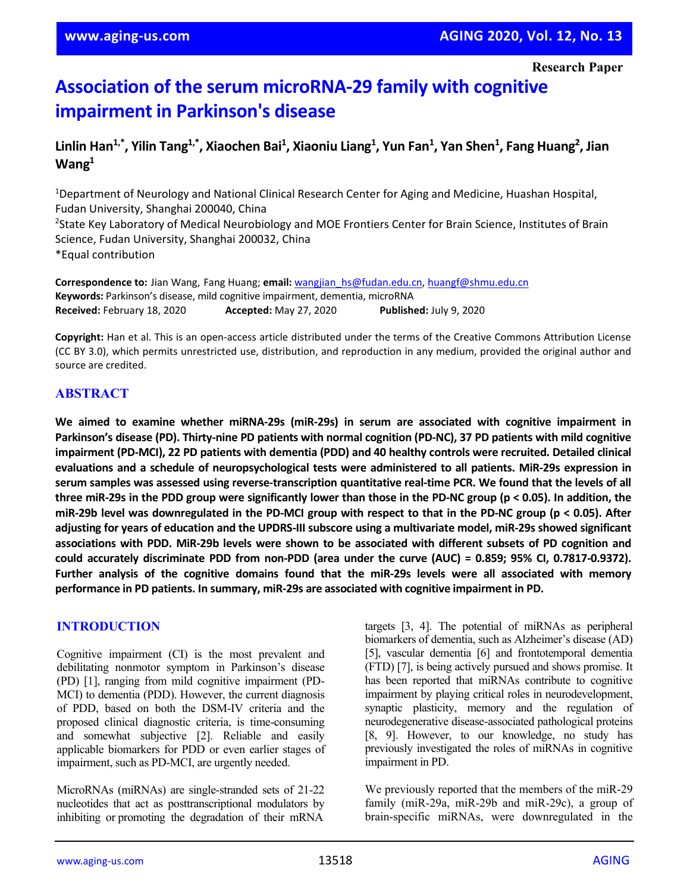# **Association of the serum microRNA-29 family with cognitive impairment in Parkinson's disease**

# Linlin Han<sup>1,\*</sup>, Yilin Tang<sup>1,\*</sup>, Xiaochen Bai<sup>1</sup>, Xiaoniu Liang<sup>1</sup>, Yun Fan<sup>1</sup>, Yan Shen<sup>1</sup>, Fang Huang<sup>2</sup>, Jian **Wang1**

<sup>1</sup>Department of Neurology and National Clinical Research Center for Aging and Medicine, Huashan Hospital, Fudan University, Shanghai 200040, China <sup>2</sup>State Key Laboratory of Medical Neurobiology and MOE Frontiers Center for Brain Science, Institutes of Brain Science, Fudan University, Shanghai 200032, China \*Equal contribution

**Correspondence to:** Jian Wang, Fang Huang; **email:** [wangjian\\_hs@fudan.edu.cn,](mailto:wangjian_hs@fudan.edu.cn) [huangf@shmu.edu.cn](mailto:huangf@shmu.edu.cn) **Keywords:** Parkinson's disease, mild cognitive impairment, dementia, microRNA **Received:** February 18, 2020 **Accepted:** May 27, 2020 **Published:** July 9, 2020

**Copyright:** Han et al. This is an open-access article distributed under the terms of the Creative Commons Attribution License (CC BY 3.0), which permits unrestricted use, distribution, and reproduction in any medium, provided the original author and source are credited.

# **ABSTRACT**

**We aimed to examine whether miRNA-29s (miR-29s) in serum are associated with cognitive impairment in** Parkinson's disease (PD). Thirty-nine PD patients with normal cognition (PD-NC), 37 PD patients with mild cognitive impairment (PD-MCI), 22 PD patients with dementia (PDD) and 40 healthy controls were recruited. Detailed clinical **evaluations and a schedule of neuropsychological tests were administered to all patients. MiR-29s expression in** serum samples was assessed using reverse-transcription quantitative real-time PCR. We found that the levels of all three miR-29s in the PDD group were significantly lower than those in the PD-NC group (p < 0.05). In addition, the miR-29b level was downregulated in the PD-MCI group with respect to that in the PD-NC group ( $p < 0.05$ ). After adjusting for years of education and the UPDRS-III subscore using a multivariate model, miR-29s showed significant associations with PDD. MiR-29b levels were shown to be associated with different subsets of PD cognition and **could accurately discriminate PDD from non-PDD (area under the curve (AUC) = 0.859; 95% CI, 0.7817-0.9372). Further analysis of the cognitive domains found that the miR-29s levels were all associated with memory performance in PD patients. In summary, miR-29s are associated with cognitive impairment in PD.**

### **INTRODUCTION**

Cognitive impairment (CI) is the most prevalent and debilitating nonmotor symptom in Parkinson's disease (PD) [1], ranging from mild cognitive impairment (PD-MCI) to dementia (PDD). However, the current diagnosis of PDD, based on both the DSM-IV criteria and the proposed clinical diagnostic criteria, is time-consuming and somewhat subjective [2]. Reliable and easily applicable biomarkers for PDD or even earlier stages of impairment, such as PD-MCI, are urgently needed.

MicroRNAs (miRNAs) are single-stranded sets of 21-22 nucleotides that act as posttranscriptional modulators by inhibiting or promoting the degradation of their mRNA

targets [3, 4]. The potential of miRNAs as peripheral biomarkers of dementia, such as Alzheimer's disease (AD) [5], vascular dementia [6] and frontotemporal dementia (FTD) [7], is being actively pursued and shows promise. It has been reported that miRNAs contribute to cognitive impairment by playing critical roles in neurodevelopment, synaptic plasticity, memory and the regulation of neurodegenerative disease-associated pathological proteins [8, 9]. However, to our knowledge, no study has previously investigated the roles of miRNAs in cognitive impairment in PD.

We previously reported that the members of the miR-29 family (miR-29a, miR-29b and miR-29c), a group of brain-specific miRNAs, were downregulated in the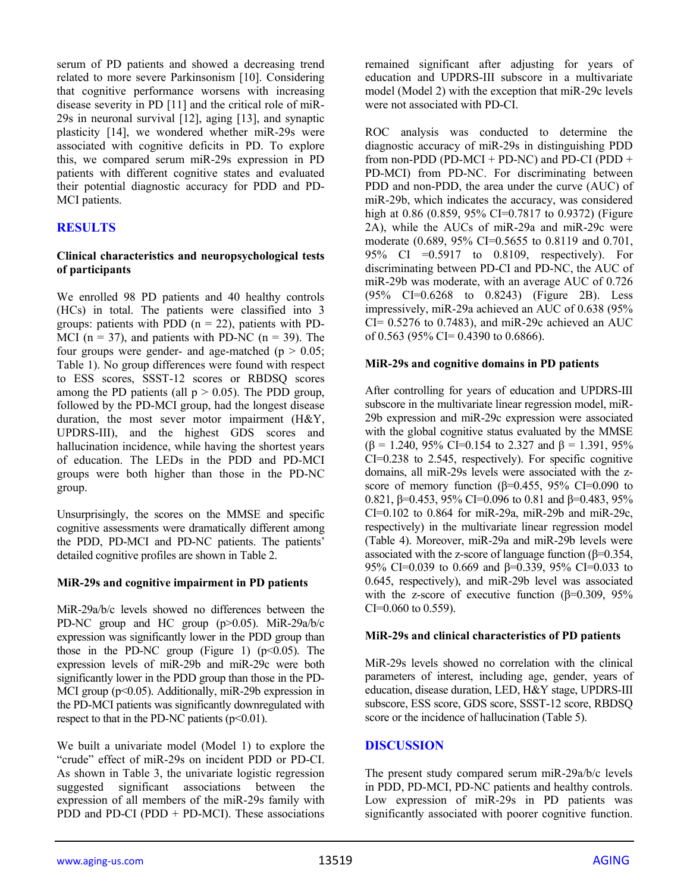serum of PD patients and showed a decreasing trend related to more severe Parkinsonism [10]. Considering that cognitive performance worsens with increasing disease severity in PD [11] and the critical role of miR-29s in neuronal survival [12], aging [13], and synaptic plasticity [14], we wondered whether miR-29s were associated with cognitive deficits in PD. To explore this, we compared serum miR-29s expression in PD patients with different cognitive states and evaluated their potential diagnostic accuracy for PDD and PD-MCI patients.

# **RESULTS**

#### **Clinical characteristics and neuropsychological tests of participants**

We enrolled 98 PD patients and 40 healthy controls (HCs) in total. The patients were classified into 3 groups: patients with PDD  $(n = 22)$ , patients with PD-MCI ( $n = 37$ ), and patients with PD-NC ( $n = 39$ ). The four groups were gender- and age-matched ( $p > 0.05$ ; Table 1). No group differences were found with respect to ESS scores, SSST-12 scores or RBDSQ scores among the PD patients (all  $p > 0.05$ ). The PDD group, followed by the PD-MCI group, had the longest disease duration, the most sever motor impairment (H&Y, UPDRS-III), and the highest GDS scores and hallucination incidence, while having the shortest years of education. The LEDs in the PDD and PD-MCI groups were both higher than those in the PD-NC group.

Unsurprisingly, the scores on the MMSE and specific cognitive assessments were dramatically different among the PDD, PD-MCI and PD-NC patients. The patients' detailed cognitive profiles are shown in Table 2.

### **MiR-29s and cognitive impairment in PD patients**

MiR-29a/b/c levels showed no differences between the PD-NC group and HC group (p>0.05). MiR-29a/b/c expression was significantly lower in the PDD group than those in the PD-NC group (Figure 1)  $(p<0.05)$ . The expression levels of miR-29b and miR-29c were both significantly lower in the PDD group than those in the PD-MCI group (p<0.05). Additionally, miR-29b expression in the PD-MCI patients was significantly downregulated with respect to that in the PD-NC patients  $(p<0.01)$ .

We built a univariate model (Model 1) to explore the "crude" effect of miR-29s on incident PDD or PD-CI. As shown in Table 3, the univariate logistic regression suggested significant associations between the expression of all members of the miR-29s family with PDD and PD-CI (PDD + PD-MCI). These associations

remained significant after adjusting for years of education and UPDRS-III subscore in a multivariate model (Model 2) with the exception that miR-29c levels were not associated with PD-CI.

ROC analysis was conducted to determine the diagnostic accuracy of miR-29s in distinguishing PDD from non-PDD (PD-MCI + PD-NC) and PD-CI (PDD + PD-MCI) from PD-NC. For discriminating between PDD and non-PDD, the area under the curve (AUC) of miR-29b, which indicates the accuracy, was considered high at 0.86 (0.859, 95% CI=0.7817 to 0.9372) (Figure 2A), while the AUCs of miR-29a and miR-29c were moderate (0.689, 95% CI=0.5655 to 0.8119 and 0.701, 95% CI =0.5917 to 0.8109, respectively). For discriminating between PD-CI and PD-NC, the AUC of miR-29b was moderate, with an average AUC of 0.726 (95% CI=0.6268 to 0.8243) (Figure 2B). Less impressively, miR-29a achieved an AUC of 0.638 (95%  $CI = 0.5276$  to 0.7483), and miR-29c achieved an AUC of 0.563 (95% CI= 0.4390 to 0.6866).

#### **MiR-29s and cognitive domains in PD patients**

After controlling for years of education and UPDRS-III subscore in the multivariate linear regression model, miR-29b expression and miR-29c expression were associated with the global cognitive status evaluated by the MMSE  $(β = 1.240, 95% CI = 0.154$  to 2.327 and  $β = 1.391, 95%$ CI=0.238 to 2.545, respectively). For specific cognitive domains, all miR-29s levels were associated with the zscore of memory function  $(\beta=0.455, 95\% \text{ CI}=0.090 \text{ to }$ 0.821, β=0.453, 95% CI=0.096 to 0.81 and β=0.483, 95% CI=0.102 to 0.864 for miR-29a, miR-29b and miR-29c, respectively) in the multivariate linear regression model (Table 4). Moreover, miR-29a and miR-29b levels were associated with the z-score of language function (β=0.354, 95% CI=0.039 to 0.669 and β=0.339, 95% CI=0.033 to 0.645, respectively), and miR-29b level was associated with the z-score of executive function  $(\beta=0.309, 95\%)$ CI=0.060 to 0.559).

#### **MiR-29s and clinical characteristics of PD patients**

MiR-29s levels showed no correlation with the clinical parameters of interest, including age, gender, years of education, disease duration, LED, H&Y stage, UPDRS-III subscore, ESS score, GDS score, SSST-12 score, RBDSQ score or the incidence of hallucination (Table 5).

### **DISCUSSION**

The present study compared serum miR-29a/b/c levels in PDD, PD-MCI, PD-NC patients and healthy controls. Low expression of miR-29s in PD patients was significantly associated with poorer cognitive function.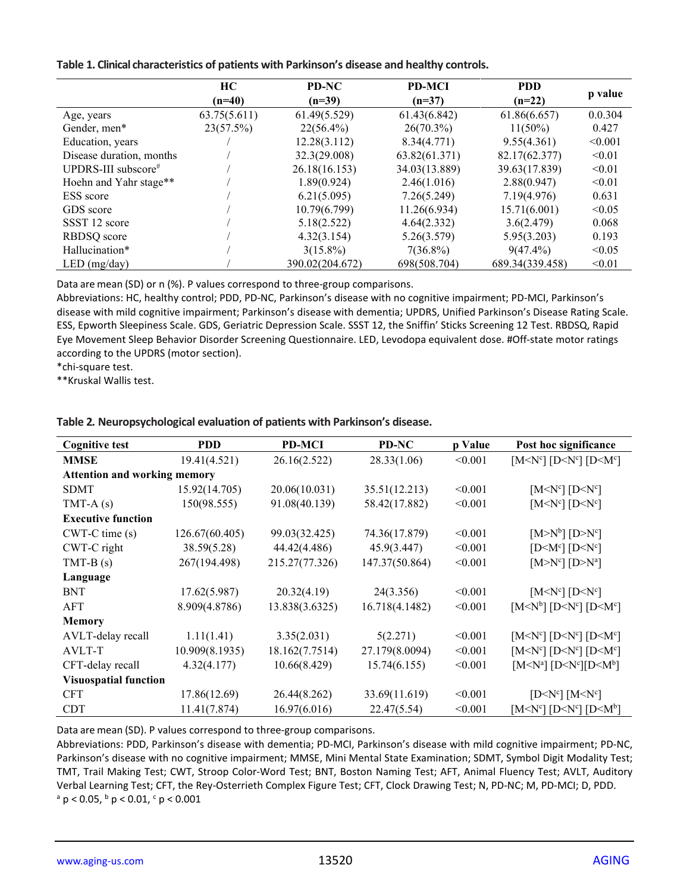|  |  |  | Table 1. Clinical characteristics of patients with Parkinson's disease and healthy controls. |
|--|--|--|----------------------------------------------------------------------------------------------|
|--|--|--|----------------------------------------------------------------------------------------------|

|                          | HC<br>$(n=40)$ | <b>PD-NC</b><br>$(n=39)$ | <b>PD-MCI</b><br>$(n=37)$ | <b>PDD</b><br>$(n=22)$ | p value |
|--------------------------|----------------|--------------------------|---------------------------|------------------------|---------|
| Age, years               | 63.75(5.611)   | 61.49(5.529)             | 61.43(6.842)              | 61.86(6.657)           | 0.0.304 |
| Gender, men*             | 23(57.5%)      | $22(56.4\%)$             | $26(70.3\%)$              | $11(50\%)$             | 0.427   |
| Education, years         |                | 12.28(3.112)             | 8.34(4.771)               | 9.55(4.361)            | < 0.001 |
| Disease duration, months |                | 32.3(29.008)             | 63.82(61.371)             | 82.17(62.377)          | < 0.01  |
| UPDRS-III subscore#      |                | 26.18(16.153)            | 34.03(13.889)             | 39.63(17.839)          | < 0.01  |
| Hoehn and Yahr stage**   |                | 1.89(0.924)              | 2.46(1.016)               | 2.88(0.947)            | < 0.01  |
| <b>ESS</b> score         |                | 6.21(5.095)              | 7.26(5.249)               | 7.19(4.976)            | 0.631   |
| GDS score                |                | 10.79(6.799)             | 11.26(6.934)              | 15.71(6.001)           | < 0.05  |
| SSST 12 score            |                | 5.18(2.522)              | 4.64(2.332)               | 3.6(2.479)             | 0.068   |
| RBDSQ score              |                | 4.32(3.154)              | 5.26(3.579)               | 5.95(3.203)            | 0.193   |
| Hallucination*           |                | $3(15.8\%)$              | $7(36.8\%)$               | $9(47.4\%)$            | < 0.05  |
| LED (mg/day)             |                | 390.02(204.672)          | 698(508.704)              | 689.34(339.458)        | < 0.01  |

Data are mean (SD) or n (%). P values correspond to three-group comparisons.

Abbreviations: HC, healthy control; PDD, PD-NC, Parkinson's disease with no cognitive impairment; PD-MCI, Parkinson's disease with mild cognitive impairment; Parkinson's disease with dementia; UPDRS, Unified Parkinson's Disease Rating Scale. ESS, Epworth Sleepiness Scale. GDS, Geriatric Depression Scale. SSST 12, the Sniffin' Sticks Screening 12 Test. RBDSQ, Rapid Eye Movement Sleep Behavior Disorder Screening Questionnaire. LED, Levodopa equivalent dose. #Off-state motor ratings according to the UPDRS (motor section).

\*chi-square test.

\*\*Kruskal Wallis test.

| <b>Cognitive test</b>               | <b>PDD</b>     | <b>PD-MCI</b>  | PD-NC          | p Value | Post hoc significance                               |
|-------------------------------------|----------------|----------------|----------------|---------|-----------------------------------------------------|
| <b>MMSE</b>                         | 19.41(4.521)   | 26.16(2.522)   | 28.33(1.06)    | < 0.001 | $[MCNc]$ $[DCNc]$ $[DCNc]$                          |
| <b>Attention and working memory</b> |                |                |                |         |                                                     |
| <b>SDMT</b>                         | 15.92(14.705)  | 20.06(10.031)  | 35.51(12.213)  | < 0.001 | $[Mo^{c}]$ $[Do^{c}]$                               |
| TMT-A $(s)$                         | 150(98.555)    | 91.08(40.139)  | 58.42(17.882)  | < 0.001 | [M <sub>Y</sub> °] [D <sub>Y</sub> °]               |
| <b>Executive function</b>           |                |                |                |         |                                                     |
| $CWT-C$ time $(s)$                  | 126.67(60.405) | 99.03(32.425)  | 74.36(17.879)  | < 0.001 | $[M>M^b]$ $[D>M^c]$                                 |
| CWT-C right                         | 38.59(5.28)    | 44.42(4.486)   | 45.9(3.447)    | < 0.001 | $[D< M^c]$ $[D< N^c]$                               |
| $TMT-B(s)$                          | 267(194.498)   | 215.27(77.326) | 147.37(50.864) | < 0.001 | $[M>M^c]$ $[D>M^a]$                                 |
| Language                            |                |                |                |         |                                                     |
| <b>BNT</b>                          | 17.62(5.987)   | 20.32(4.19)    | 24(3.356)      | < 0.001 | $[Mo]c$ [D $Nc$ ]                                   |
| AFT                                 | 8.909(4.8786)  | 13.838(3.6325) | 16.718(4.1482) | < 0.001 | $[MNb]$ $[DNc]$ $[DNc]$                             |
| <b>Memory</b>                       |                |                |                |         |                                                     |
| AVLT-delay recall                   | 1.11(1.41)     | 3.35(2.031)    | 5(2.271)       | < 0.001 | $[M< Nc]$ $[D< Nc]$ $[D< Mc]$                       |
| AVLT-T                              | 10.909(8.1935) | 18.162(7.7514) | 27.179(8.0094) | < 0.001 | $[MCNc]$ $[DCNc]$ $[DCNc]$                          |
| CFT-delay recall                    | 4.32(4.177)    | 10.66(8.429)   | 15.74(6.155)   | < 0.001 | $[M < N^a]$ $[D < N^c]$ $[D < M^b]$                 |
| <b>Visuospatial function</b>        |                |                |                |         |                                                     |
| <b>CFT</b>                          | 17.86(12.69)   | 26.44(8.262)   | 33.69(11.619)  | < 0.001 | $[D<\mathbb{N}^c]$ $[M<\mathbb{N}^c]$               |
| <b>CDT</b>                          | 11.41(7.874)   | 16.97(6.016)   | 22.47(5.54)    | < 0.001 | $[M1^{c}]$ [D <n<sup>c] [D<m<sup>b]</m<sup></n<sup> |

**Table 2***.* **Neuropsychological evaluation of patients with Parkinson's disease.**

Data are mean (SD). P values correspond to three-group comparisons.

Abbreviations: PDD, Parkinson's disease with dementia; PD-MCI, Parkinson's disease with mild cognitive impairment; PD-NC, Parkinson's disease with no cognitive impairment; MMSE, Mini Mental State Examination; SDMT, Symbol Digit Modality Test; TMT, Trail Making Test; CWT, Stroop Color-Word Test; BNT, Boston Naming Test; AFT, Animal Fluency Test; AVLT, Auditory Verbal Learning Test; CFT, the Rey-Osterrieth Complex Figure Test; CFT, Clock Drawing Test; N, PD-NC; M, PD-MCI; D, PDD.  $a$  p < 0.05,  $b$  p < 0.01,  $c$  p < 0.001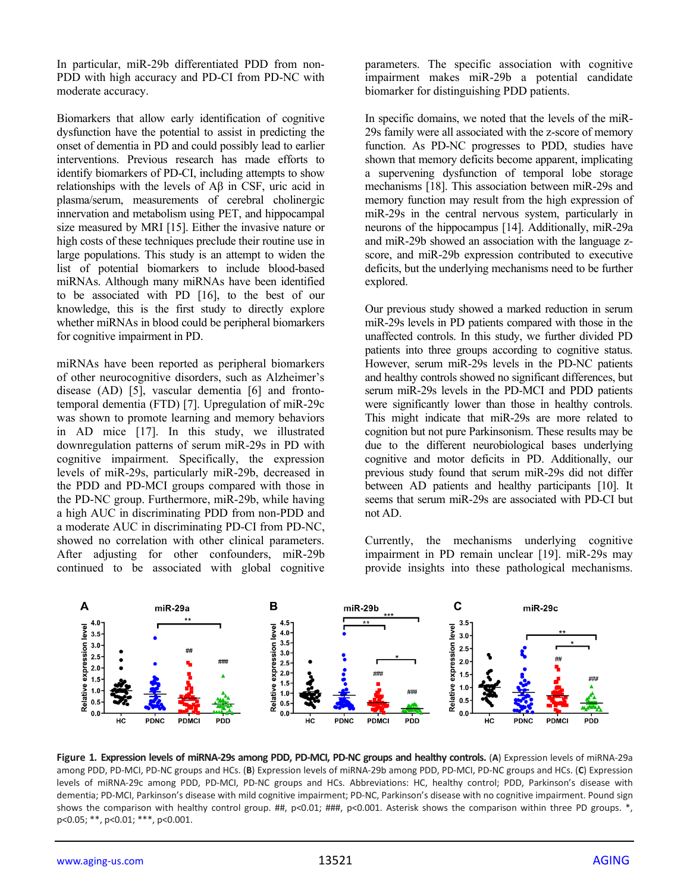In particular, miR-29b differentiated PDD from non-PDD with high accuracy and PD-CI from PD-NC with moderate accuracy.

Biomarkers that allow early identification of cognitive dysfunction have the potential to assist in predicting the onset of dementia in PD and could possibly lead to earlier interventions. Previous research has made efforts to identify biomarkers of PD-CI, including attempts to show relationships with the levels of Aβ in CSF, uric acid in plasma/serum, measurements of cerebral cholinergic innervation and metabolism using PET, and hippocampal size measured by MRI [15]. Either the invasive nature or high costs of these techniques preclude their routine use in large populations. This study is an attempt to widen the list of potential biomarkers to include blood-based miRNAs. Although many miRNAs have been identified to be associated with PD [16], to the best of our knowledge, this is the first study to directly explore whether miRNAs in blood could be peripheral biomarkers for cognitive impairment in PD.

miRNAs have been reported as peripheral biomarkers of other neurocognitive disorders, such as Alzheimer's disease (AD) [5], vascular dementia [6] and frontotemporal dementia (FTD) [7]. Upregulation of miR-29c was shown to promote learning and memory behaviors in AD mice [17]. In this study, we illustrated downregulation patterns of serum miR-29s in PD with cognitive impairment. Specifically, the expression levels of miR-29s, particularly miR-29b, decreased in the PDD and PD-MCI groups compared with those in the PD-NC group. Furthermore, miR-29b, while having a high AUC in discriminating PDD from non-PDD and a moderate AUC in discriminating PD-CI from PD-NC, showed no correlation with other clinical parameters. After adjusting for other confounders, miR-29b continued to be associated with global cognitive

parameters. The specific association with cognitive impairment makes miR-29b a potential candidate biomarker for distinguishing PDD patients.

In specific domains, we noted that the levels of the miR-29s family were all associated with the z-score of memory function. As PD-NC progresses to PDD, studies have shown that memory deficits become apparent, implicating a supervening dysfunction of temporal lobe storage mechanisms [18]. This association between miR-29s and memory function may result from the high expression of miR-29s in the central nervous system, particularly in neurons of the hippocampus [14]. Additionally, miR-29a and miR-29b showed an association with the language zscore, and miR-29b expression contributed to executive deficits, but the underlying mechanisms need to be further explored.

Our previous study showed a marked reduction in serum miR-29s levels in PD patients compared with those in the unaffected controls. In this study, we further divided PD patients into three groups according to cognitive status. However, serum miR-29s levels in the PD-NC patients and healthy controls showed no significant differences, but serum miR-29s levels in the PD-MCI and PDD patients were significantly lower than those in healthy controls. This might indicate that miR-29s are more related to cognition but not pure Parkinsonism. These results may be due to the different neurobiological bases underlying cognitive and motor deficits in PD. Additionally, our previous study found that serum miR-29s did not differ between AD patients and healthy participants [10]. It seems that serum miR-29s are associated with PD-CI but not AD.

Currently, the mechanisms underlying cognitive impairment in PD remain unclear [19]. miR-29s may provide insights into these pathological mechanisms.



**Figure 1***.* **Expression levels of miRNA-29s among PDD, PD-MCI, PD-NC groups and healthy controls.** (**A**) Expression levels of miRNA-29a among PDD, PD-MCI, PD-NC groups and HCs. (**B**) Expression levels of miRNA-29b among PDD, PD-MCI, PD-NC groups and HCs. (**C**) Expression levels of miRNA-29c among PDD, PD-MCI, PD-NC groups and HCs. Abbreviations: HC, healthy control; PDD, Parkinson's disease with dementia; PD-MCI, Parkinson's disease with mild cognitive impairment; PD-NC, Parkinson's disease with no cognitive impairment. Pound sign shows the comparison with healthy control group. ##,  $p<0.01$ ; ###,  $p<0.001$ . Asterisk shows the comparison within three PD groups. \*, p<0.05; \*\*, p<0.01; \*\*\*, p<0.001.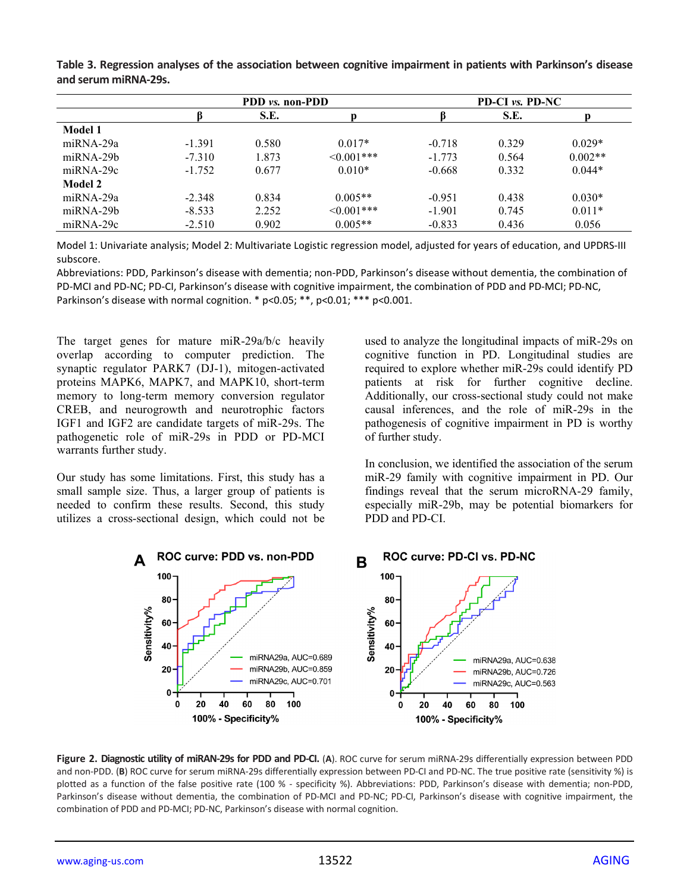| Table 3. Regression analyses of the association between cognitive impairment in patients with Parkinson's disease |  |  |
|-------------------------------------------------------------------------------------------------------------------|--|--|
| and serum miRNA-29s.                                                                                              |  |  |

|                   |          | PDD vs. non-PDD |                  |          | PD-CI <i>vs.</i> PD-NC |           |  |
|-------------------|----------|-----------------|------------------|----------|------------------------|-----------|--|
|                   |          | S.E.            |                  |          | S.E.                   |           |  |
| Model 1           |          |                 |                  |          |                        |           |  |
| $m\ddot{R}NA-29a$ | $-1.391$ | 0.580           | $0.017*$         | $-0.718$ | 0.329                  | $0.029*$  |  |
| $m\ddot{R}NA-29b$ | $-7.310$ | 1.873           | $\leq 0.001$ *** | $-1.773$ | 0.564                  | $0.002**$ |  |
| $m\ddot{R}NA-29c$ | $-1.752$ | 0.677           | $0.010*$         | $-0.668$ | 0.332                  | $0.044*$  |  |
| <b>Model 2</b>    |          |                 |                  |          |                        |           |  |
| miRNA-29a         | $-2.348$ | 0.834           | $0.005**$        | $-0.951$ | 0.438                  | $0.030*$  |  |
| $m\ddot{R}NA-29b$ | $-8.533$ | 2.252           | $\leq 0.001$ *** | $-1.901$ | 0.745                  | $0.011*$  |  |
| $mIRNA-29c$       | $-2.510$ | 0.902           | $0.005**$        | $-0.833$ | 0.436                  | 0.056     |  |

Model 1: Univariate analysis; Model 2: Multivariate Logistic regression model, adjusted for years of education, and UPDRS-III subscore.

Abbreviations: PDD, Parkinson's disease with dementia; non-PDD, Parkinson's disease without dementia, the combination of PD-MCI and PD-NC; PD-CI, Parkinson's disease with cognitive impairment, the combination of PDD and PD-MCI; PD-NC, Parkinson's disease with normal cognition. \* p<0.05; \*\*, p<0.01; \*\*\* p<0.001.

The target genes for mature miR-29a/b/c heavily overlap according to computer prediction. The synaptic regulator PARK7 (DJ-1), mitogen-activated proteins MAPK6, MAPK7, and MAPK10, short-term memory to long-term memory conversion regulator CREB, and neurogrowth and neurotrophic factors IGF1 and IGF2 are candidate targets of miR-29s. The pathogenetic role of miR-29s in PDD or PD-MCI warrants further study.

Our study has some limitations. First, this study has a small sample size. Thus, a larger group of patients is needed to confirm these results. Second, this study utilizes a cross-sectional design, which could not be used to analyze the longitudinal impacts of miR-29s on cognitive function in PD. Longitudinal studies are required to explore whether miR-29s could identify PD patients at risk for further cognitive decline. Additionally, our cross-sectional study could not make causal inferences, and the role of miR-29s in the pathogenesis of cognitive impairment in PD is worthy of further study.

In conclusion, we identified the association of the serum miR-29 family with cognitive impairment in PD. Our findings reveal that the serum microRNA-29 family, especially miR-29b, may be potential biomarkers for PDD and PD-CI.



**Figure 2. Diagnostic utility of miRAN-29s for PDD and PD-CI.** (**A**). ROC curve for serum miRNA-29s differentially expression between PDD and non-PDD. (**B**) ROC curve for serum miRNA-29s differentially expression between PD-CI and PD-NC. The true positive rate (sensitivity %) is plotted as a function of the false positive rate (100 % - specificity %). Abbreviations: PDD, Parkinson's disease with dementia; non-PDD, Parkinson's disease without dementia, the combination of PD-MCI and PD-NC; PD-CI, Parkinson's disease with cognitive impairment, the combination of PDD and PD-MCI; PD-NC, Parkinson's disease with normal cognition.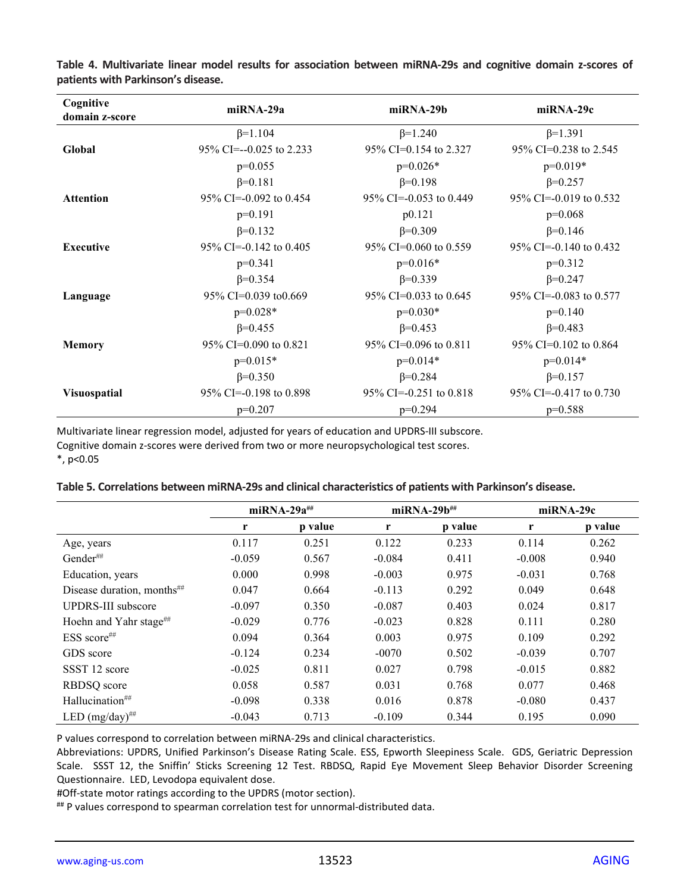| Cognitive<br>domain z-score | $mIRNA-29a$               | $m$ i $RN$ A-29b        | miRNA-29c               |
|-----------------------------|---------------------------|-------------------------|-------------------------|
|                             | $\beta = 1.104$           | $\beta = 1.240$         | $\beta = 1.391$         |
| Global                      | 95% CI= $-0.025$ to 2.233 | 95% CI=0.154 to 2.327   | 95% CI=0.238 to 2.545   |
|                             | $p=0.055$                 | $p=0.026*$              | $p=0.019*$              |
|                             | $\beta = 0.181$           | $\beta = 0.198$         | $\beta = 0.257$         |
| <b>Attention</b>            | 95\% CI=-0.092 to 0.454   | 95\% CI=-0.053 to 0.449 | 95\% CI=-0.019 to 0.532 |
|                             | $p=0.191$                 | p0.121                  | $p=0.068$               |
|                             | $\beta = 0.132$           | $\beta = 0.309$         | $\beta = 0.146$         |
| <b>Executive</b>            | 95% CI=-0.142 to 0.405    | 95% CI=0.060 to 0.559   | 95\% CI=-0.140 to 0.432 |
|                             | $p=0.341$                 | $p=0.016*$              | $p=0.312$               |
|                             | $\beta = 0.354$           | $\beta = 0.339$         | $\beta = 0.247$         |
| Language                    | 95% CI=0.039 to0.669      | 95% CI=0.033 to 0.645   | 95% CI=-0.083 to 0.577  |
|                             | $p=0.028*$                | $p=0.030*$              | $p=0.140$               |
|                             | $\beta = 0.455$           | $\beta = 0.453$         | $\beta = 0.483$         |
| <b>Memory</b>               | 95% CI=0.090 to 0.821     | 95% CI=0.096 to 0.811   | 95% CI=0.102 to 0.864   |
|                             | $p=0.015*$                | $p=0.014*$              | $p=0.014*$              |
|                             | $\beta = 0.350$           | $\beta = 0.284$         | $\beta = 0.157$         |
| <b>Visuospatial</b>         | $95\%$ CI=-0.198 to 0.898 | 95% CI=-0.251 to 0.818  | 95\% CI=-0.417 to 0.730 |
|                             | $p=0.207$                 | $p=0.294$               | $p=0.588$               |

**Table 4. Multivariate linear model results for association between miRNA-29s and cognitive domain z-scores of patients with Parkinson's disease.** 

Multivariate linear regression model, adjusted for years of education and UPDRS-III subscore. Cognitive domain z-scores were derived from two or more neuropsychological test scores.

\*, p<0.05

| Table 5. Correlations between miRNA-29s and clinical characteristics of patients with Parkinson's disease. |  |
|------------------------------------------------------------------------------------------------------------|--|
|------------------------------------------------------------------------------------------------------------|--|

|                                        | $m$ iRNA-29 $a^{\#}$ |         | $m$ iRNA-29 $b^{\#}$ |         | miRNA-29c |         |
|----------------------------------------|----------------------|---------|----------------------|---------|-----------|---------|
|                                        | r                    | p value | r                    | p value | r         | p value |
| Age, years                             | 0.117                | 0.251   | 0.122                | 0.233   | 0.114     | 0.262   |
| Gender##                               | $-0.059$             | 0.567   | $-0.084$             | 0.411   | $-0.008$  | 0.940   |
| Education, years                       | 0.000                | 0.998   | $-0.003$             | 0.975   | $-0.031$  | 0.768   |
| Disease duration, months <sup>##</sup> | 0.047                | 0.664   | $-0.113$             | 0.292   | 0.049     | 0.648   |
| <b>UPDRS-III</b> subscore              | $-0.097$             | 0.350   | $-0.087$             | 0.403   | 0.024     | 0.817   |
| Hoehn and Yahr stage <sup>##</sup>     | $-0.029$             | 0.776   | $-0.023$             | 0.828   | 0.111     | 0.280   |
| $ESS score^{\# \#}$                    | 0.094                | 0.364   | 0.003                | 0.975   | 0.109     | 0.292   |
| GDS score                              | $-0.124$             | 0.234   | $-0070$              | 0.502   | $-0.039$  | 0.707   |
| SSST 12 score                          | $-0.025$             | 0.811   | 0.027                | 0.798   | $-0.015$  | 0.882   |
| RBDSQ score                            | 0.058                | 0.587   | 0.031                | 0.768   | 0.077     | 0.468   |
| Hallucination <sup>##</sup>            | $-0.098$             | 0.338   | 0.016                | 0.878   | $-0.080$  | 0.437   |
| LED $(mg/day)$ <sup>##</sup>           | $-0.043$             | 0.713   | $-0.109$             | 0.344   | 0.195     | 0.090   |

P values correspond to correlation between miRNA-29s and clinical characteristics.

Abbreviations: UPDRS, Unified Parkinson's Disease Rating Scale. ESS, Epworth Sleepiness Scale. GDS, Geriatric Depression Scale. SSST 12, the Sniffin' Sticks Screening 12 Test. RBDSQ, Rapid Eye Movement Sleep Behavior Disorder Screening Questionnaire. LED, Levodopa equivalent dose.

#Off-state motor ratings according to the UPDRS (motor section).

## P values correspond to spearman correlation test for unnormal-distributed data.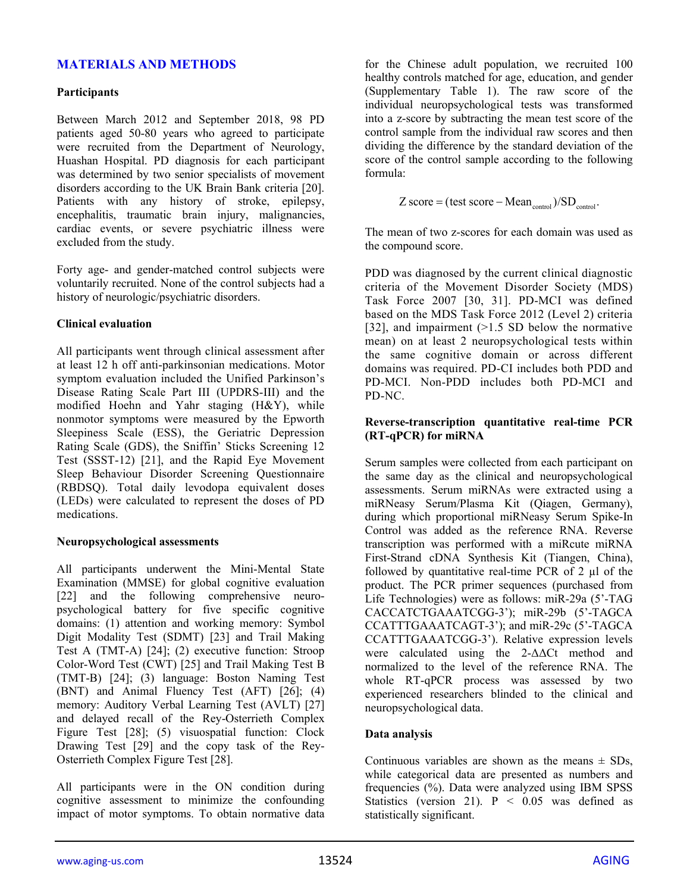# **MATERIALS AND METHODS**

#### **Participants**

Between March 2012 and September 2018, 98 PD patients aged 50-80 years who agreed to participate were recruited from the Department of Neurology, Huashan Hospital. PD diagnosis for each participant was determined by two senior specialists of movement disorders according to the UK Brain Bank criteria [20]. Patients with any history of stroke, epilepsy, encephalitis, traumatic brain injury, malignancies, cardiac events, or severe psychiatric illness were excluded from the study.

Forty age- and gender-matched control subjects were voluntarily recruited. None of the control subjects had a history of neurologic/psychiatric disorders.

#### **Clinical evaluation**

All participants went through clinical assessment after at least 12 h off anti-parkinsonian medications. Motor symptom evaluation included the Unified Parkinson's Disease Rating Scale Part III (UPDRS-III) and the modified Hoehn and Yahr staging (H&Y), while nonmotor symptoms were measured by the Epworth Sleepiness Scale (ESS), the Geriatric Depression Rating Scale (GDS), the Sniffin' Sticks Screening 12 Test (SSST-12) [21], and the Rapid Eye Movement Sleep Behaviour Disorder Screening Questionnaire (RBDSQ). Total daily levodopa equivalent doses (LEDs) were calculated to represent the doses of PD medications.

#### **Neuropsychological assessments**

All participants underwent the Mini-Mental State Examination (MMSE) for global cognitive evaluation [22] and the following comprehensive neuropsychological battery for five specific cognitive domains: (1) attention and working memory: Symbol Digit Modality Test (SDMT) [23] and Trail Making Test A (TMT-A) [24]; (2) executive function: Stroop Color-Word Test (CWT) [25] and Trail Making Test B (TMT-B) [24]; (3) language: Boston Naming Test (BNT) and Animal Fluency Test (AFT) [26]; (4) memory: Auditory Verbal Learning Test (AVLT) [27] and delayed recall of the Rey-Osterrieth Complex Figure Test [28]; (5) visuospatial function: Clock Drawing Test [29] and the copy task of the Rey-Osterrieth Complex Figure Test [28].

All participants were in the ON condition during cognitive assessment to minimize the confounding impact of motor symptoms. To obtain normative data

for the Chinese adult population, we recruited 100 healthy controls matched for age, education, and gender (Supplementary Table 1). The raw score of the individual neuropsychological tests was transformed into a z-score by subtracting the mean test score of the control sample from the individual raw scores and then dividing the difference by the standard deviation of the score of the control sample according to the following formula:

$$
Z \text{ score} = (\text{test score} - \text{Mean}_{\text{control}}) / SD_{\text{control}}.
$$

The mean of two z-scores for each domain was used as the compound score.

PDD was diagnosed by the current clinical diagnostic criteria of the Movement Disorder Society (MDS) Task Force 2007 [30, 31]. PD-MCI was defined based on the MDS Task Force 2012 (Level 2) criteria [32], and impairment (>1.5 SD below the normative mean) on at least 2 neuropsychological tests within the same cognitive domain or across different domains was required. PD-CI includes both PDD and PD-MCI. Non-PDD includes both PD-MCI and PD-NC.

### **Reverse-transcription quantitative real-time PCR (RT-qPCR) for miRNA**

Serum samples were collected from each participant on the same day as the clinical and neuropsychological assessments. Serum miRNAs were extracted using a miRNeasy Serum/Plasma Kit (Qiagen, Germany), during which proportional miRNeasy Serum Spike-In Control was added as the reference RNA. Reverse transcription was performed with a miRcute miRNA First-Strand cDNA Synthesis Kit (Tiangen, China), followed by quantitative real-time PCR of 2 µl of the product. The PCR primer sequences (purchased from Life Technologies) were as follows: miR-29a (5'-TAG CACCATCTGAAATCGG-3'); miR-29b (5'-TAGCA CCATTTGAAATCAGT-3'); and miR-29c (5'-TAGCA CCATTTGAAATCGG-3'). Relative expression levels were calculated using the 2-ΔΔCt method and normalized to the level of the reference RNA. The whole RT-qPCR process was assessed by two experienced researchers blinded to the clinical and neuropsychological data.

### **Data analysis**

Continuous variables are shown as the means  $\pm$  SDs, while categorical data are presented as numbers and frequencies (%). Data were analyzed using IBM SPSS Statistics (version 21).  $P < 0.05$  was defined as statistically significant.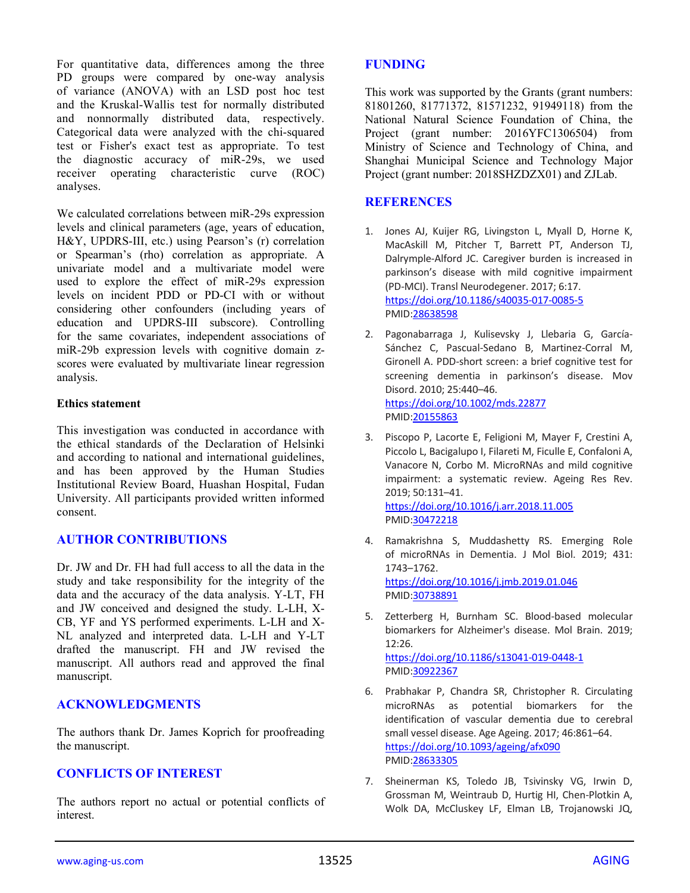For quantitative data, differences among the three PD groups were compared by one-way analysis of variance (ANOVA) with an LSD post hoc test and the Kruskal-Wallis test for normally distributed and nonnormally distributed data, respectively. Categorical data were analyzed with the chi-squared test or Fisher's exact test as appropriate. To test the diagnostic accuracy of miR-29s, we used receiver operating characteristic curve (ROC) analyses.

We calculated correlations between miR-29s expression levels and clinical parameters (age, years of education, H&Y, UPDRS-III, etc.) using Pearson's (r) correlation or Spearman's (rho) correlation as appropriate. A univariate model and a multivariate model were used to explore the effect of miR-29s expression levels on incident PDD or PD-CI with or without considering other confounders (including years of education and UPDRS-III subscore). Controlling for the same covariates, independent associations of miR-29b expression levels with cognitive domain zscores were evaluated by multivariate linear regression analysis.

### **Ethics statement**

This investigation was conducted in accordance with the ethical standards of the Declaration of Helsinki and according to national and international guidelines, and has been approved by the Human Studies Institutional Review Board, Huashan Hospital, Fudan University. All participants provided written informed consent.

# **AUTHOR CONTRIBUTIONS**

Dr. JW and Dr. FH had full access to all the data in the study and take responsibility for the integrity of the data and the accuracy of the data analysis. Y-LT, FH and JW conceived and designed the study. L-LH, X-CB, YF and YS performed experiments. L-LH and X-NL analyzed and interpreted data. L-LH and Y-LT drafted the manuscript. FH and JW revised the manuscript. All authors read and approved the final manuscript.

# **ACKNOWLEDGMENTS**

The authors thank Dr. James Koprich for proofreading the manuscript.

# **CONFLICTS OF INTEREST**

The authors report no actual or potential conflicts of interest.

# **FUNDING**

This work was supported by the Grants (grant numbers: 81801260, 81771372, 81571232, 91949118) from the National Natural Science Foundation of China, the Project (grant number: 2016YFC1306504) from Ministry of Science and Technology of China, and Shanghai Municipal Science and Technology Major Project (grant number: 2018SHZDZX01) and ZJLab.

# **REFERENCES**

- 1. Jones AJ, Kuijer RG, Livingston L, Myall D, Horne K, MacAskill M, Pitcher T, Barrett PT, Anderson TJ, Dalrymple-Alford JC. Caregiver burden is increased in parkinson's disease with mild cognitive impairment (PD-MCI). Transl Neurodegener. 2017; 6:17. <https://doi.org/10.1186/s40035-017-0085-5> PMID[:28638598](https://pubmed.ncbi.nlm.nih.gov/28638598)
- 2. Pagonabarraga J, Kulisevsky J, Llebaria G, García-Sánchez C, Pascual-Sedano B, Martinez-Corral M, Gironell A. PDD-short screen: a brief cognitive test for screening dementia in parkinson's disease. Mov Disord. 2010; 25:440–46. <https://doi.org/10.1002/mds.22877> PMID[:20155863](https://pubmed.ncbi.nlm.nih.gov/20155863)
- 3. Piscopo P, Lacorte E, Feligioni M, Mayer F, Crestini A, Piccolo L, Bacigalupo I, Filareti M, Ficulle E, Confaloni A, Vanacore N, Corbo M. MicroRNAs and mild cognitive impairment: a systematic review. Ageing Res Rev. 2019; 50:131–41. <https://doi.org/10.1016/j.arr.2018.11.005> PMID[:30472218](https://pubmed.ncbi.nlm.nih.gov/30472218)
- 4. Ramakrishna S, Muddashetty RS. Emerging Role of microRNAs in Dementia. J Mol Biol. 2019; 431: 1743–1762. <https://doi.org/10.1016/j.jmb.2019.01.046> PMID[:30738891](https://pubmed.ncbi.nlm.nih.gov/30738891)
- 5. Zetterberg H, Burnham SC. Blood-based molecular biomarkers for Alzheimer's disease. Mol Brain. 2019;  $12.26$

<https://doi.org/10.1186/s13041-019-0448-1> PMID[:30922367](https://pubmed.ncbi.nlm.nih.gov/30922367)

- 6. Prabhakar P, Chandra SR, Christopher R. Circulating microRNAs as potential biomarkers for the identification of vascular dementia due to cerebral small vessel disease. Age Ageing. 2017; 46:861–64. <https://doi.org/10.1093/ageing/afx090> PMID[:28633305](https://pubmed.ncbi.nlm.nih.gov/28633305)
- 7. Sheinerman KS, Toledo JB, Tsivinsky VG, Irwin D, Grossman M, Weintraub D, Hurtig HI, Chen-Plotkin A, Wolk DA, McCluskey LF, Elman LB, Trojanowski JQ,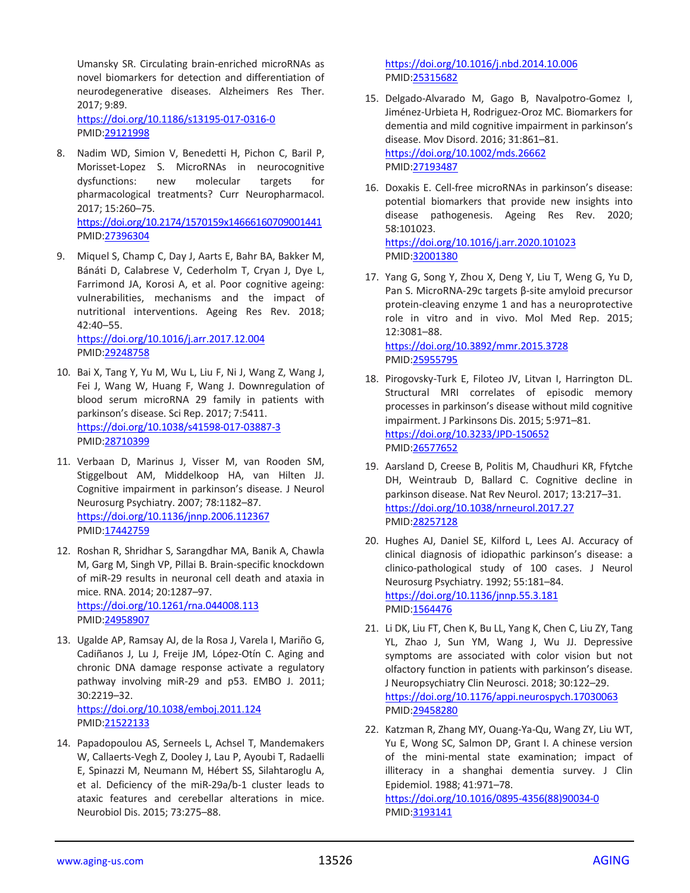Umansky SR. Circulating brain-enriched microRNAs as novel biomarkers for detection and differentiation of neurodegenerative diseases. Alzheimers Res Ther. 2017; 9:89.

<https://doi.org/10.1186/s13195-017-0316-0> PMID[:29121998](https://pubmed.ncbi.nlm.nih.gov/29121998)

- 8. Nadim WD, Simion V, Benedetti H, Pichon C, Baril P, Morisset-Lopez S. MicroRNAs in neurocognitive dysfunctions: new molecular targets for pharmacological treatments? Curr Neuropharmacol. 2017; 15:260–75. <https://doi.org/10.2174/1570159x14666160709001441> PMID[:27396304](https://pubmed.ncbi.nlm.nih.gov/27396304)
- 9. Miquel S, Champ C, Day J, Aarts E, Bahr BA, Bakker M, Bánáti D, Calabrese V, Cederholm T, Cryan J, Dye L, Farrimond JA, Korosi A, et al. Poor cognitive ageing: vulnerabilities, mechanisms and the impact of nutritional interventions. Ageing Res Rev. 2018; 42:40–55. <https://doi.org/10.1016/j.arr.2017.12.004>

PMID[:29248758](https://pubmed.ncbi.nlm.nih.gov/29248758)

- 10. Bai X, Tang Y, Yu M, Wu L, Liu F, Ni J, Wang Z, Wang J, Fei J, Wang W, Huang F, Wang J. Downregulation of blood serum microRNA 29 family in patients with parkinson's disease. Sci Rep. 2017; 7:5411. <https://doi.org/10.1038/s41598-017-03887-3> PMID[:28710399](https://pubmed.ncbi.nlm.nih.gov/28710399)
- 11. Verbaan D, Marinus J, Visser M, van Rooden SM, Stiggelbout AM, Middelkoop HA, van Hilten JJ. Cognitive impairment in parkinson's disease. J Neurol Neurosurg Psychiatry. 2007; 78:1182–87. <https://doi.org/10.1136/jnnp.2006.112367> PMID[:17442759](https://pubmed.ncbi.nlm.nih.gov/17442759)
- 12. Roshan R, Shridhar S, Sarangdhar MA, Banik A, Chawla M, Garg M, Singh VP, Pillai B. Brain-specific knockdown of miR-29 results in neuronal cell death and ataxia in mice. RNA. 2014; 20:1287–97. <https://doi.org/10.1261/rna.044008.113> PMID[:24958907](https://pubmed.ncbi.nlm.nih.gov/24958907)
- 13. Ugalde AP, Ramsay AJ, de la Rosa J, Varela I, Mariño G, Cadiñanos J, Lu J, Freije JM, López-Otín C. Aging and chronic DNA damage response activate a regulatory pathway involving miR-29 and p53. EMBO J. 2011; 30:2219–32. <https://doi.org/10.1038/emboj.2011.124> PMID[:21522133](https://pubmed.ncbi.nlm.nih.gov/21522133)
- 14. Papadopoulou AS, Serneels L, Achsel T, Mandemakers W, Callaerts-Vegh Z, Dooley J, Lau P, Ayoubi T, Radaelli E, Spinazzi M, Neumann M, Hébert SS, Silahtaroglu A, et al. Deficiency of the miR-29a/b-1 cluster leads to ataxic features and cerebellar alterations in mice. Neurobiol Dis. 2015; 73:275–88.

<https://doi.org/10.1016/j.nbd.2014.10.006> PMID[:25315682](https://pubmed.ncbi.nlm.nih.gov/25315682)

- 15. Delgado-Alvarado M, Gago B, Navalpotro-Gomez I, Jiménez-Urbieta H, Rodriguez-Oroz MC. Biomarkers for dementia and mild cognitive impairment in parkinson's disease. Mov Disord. 2016; 31:861–81. <https://doi.org/10.1002/mds.26662> PMID[:27193487](https://pubmed.ncbi.nlm.nih.gov/27193487)
- 16. Doxakis E. Cell-free microRNAs in parkinson's disease: potential biomarkers that provide new insights into disease pathogenesis. Ageing Res Rev. 2020; 58:101023. <https://doi.org/10.1016/j.arr.2020.101023> PMID[:32001380](https://pubmed.ncbi.nlm.nih.gov/32001380)
- 17. Yang G, Song Y, Zhou X, Deng Y, Liu T, Weng G, Yu D, Pan S. MicroRNA-29c targets β-site amyloid precursor protein-cleaving enzyme 1 and has a neuroprotective role in vitro and in vivo. Mol Med Rep. 2015; 12:3081–88. <https://doi.org/10.3892/mmr.2015.3728> PMID[:25955795](https://pubmed.ncbi.nlm.nih.gov/25955795)
- 18. Pirogovsky-Turk E, Filoteo JV, Litvan I, Harrington DL. Structural MRI correlates of episodic memory processes in parkinson's disease without mild cognitive impairment. J Parkinsons Dis. 2015; 5:971–81. <https://doi.org/10.3233/JPD-150652> PMID[:26577652](https://pubmed.ncbi.nlm.nih.gov/26577652)
- 19. Aarsland D, Creese B, Politis M, Chaudhuri KR, Ffytche DH, Weintraub D, Ballard C. Cognitive decline in parkinson disease. Nat Rev Neurol. 2017; 13:217–31. <https://doi.org/10.1038/nrneurol.2017.27> PMID[:28257128](https://pubmed.ncbi.nlm.nih.gov/28257128)
- 20. Hughes AJ, Daniel SE, Kilford L, Lees AJ. Accuracy of clinical diagnosis of idiopathic parkinson's disease: a clinico-pathological study of 100 cases. J Neurol Neurosurg Psychiatry. 1992; 55:181–84. <https://doi.org/10.1136/jnnp.55.3.181> PMID[:1564476](https://pubmed.ncbi.nlm.nih.gov/1564476)
- 21. Li DK, Liu FT, Chen K, Bu LL, Yang K, Chen C, Liu ZY, Tang YL, Zhao J, Sun YM, Wang J, Wu JJ. Depressive symptoms are associated with color vision but not olfactory function in patients with parkinson's disease. J Neuropsychiatry Clin Neurosci. 2018; 30:122–29. <https://doi.org/10.1176/appi.neurospych.17030063> PMID[:29458280](https://pubmed.ncbi.nlm.nih.gov/29458280)
- 22. Katzman R, Zhang MY, Ouang-Ya-Qu, Wang ZY, Liu WT, Yu E, Wong SC, Salmon DP, Grant I. A chinese version of the mini-mental state examination; impact of illiteracy in a shanghai dementia survey. J Clin Epidemiol. 1988; 41:971–78. [https://doi.org/10.1016/0895-4356\(88\)90034-0](https://doi.org/10.1016/0895-4356(88)90034-0)

PMID[:3193141](https://pubmed.ncbi.nlm.nih.gov/3193141)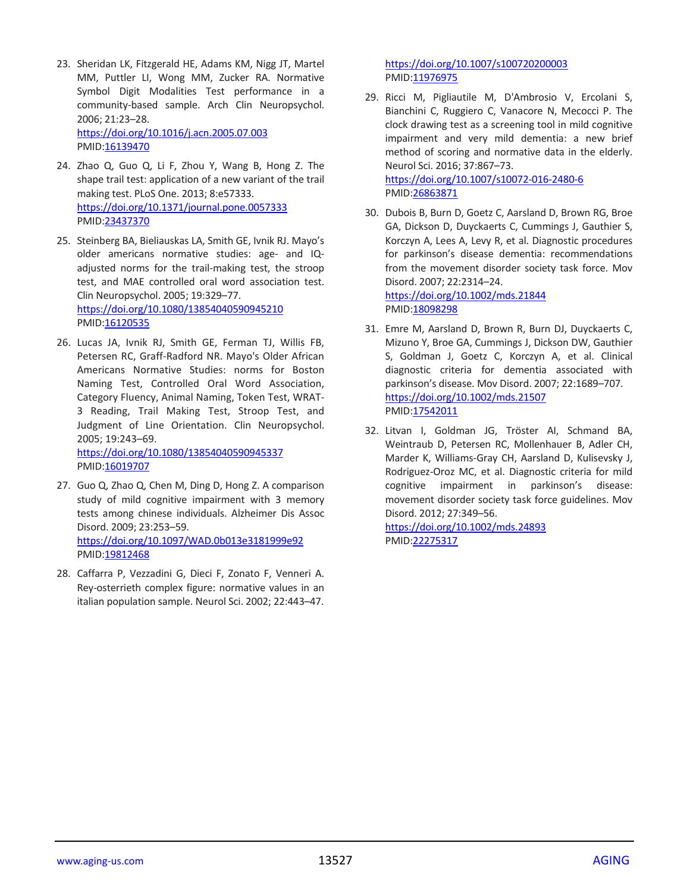- 23. Sheridan LK, Fitzgerald HE, Adams KM, Nigg JT, Martel MM, Puttler LI, Wong MM, Zucker RA. Normative Symbol Digit Modalities Test performance in a community-based sample. Arch Clin Neuropsychol. 2006; 21:23–28. <https://doi.org/10.1016/j.acn.2005.07.003> PMID[:16139470](https://pubmed.ncbi.nlm.nih.gov/16139470)
- 24. Zhao Q, Guo Q, Li F, Zhou Y, Wang B, Hong Z. The shape trail test: application of a new variant of the trail making test. PLoS One. 2013; 8:e57333. <https://doi.org/10.1371/journal.pone.0057333> PMID[:23437370](https://pubmed.ncbi.nlm.nih.gov/23437370)
- 25. Steinberg BA, Bieliauskas LA, Smith GE, Ivnik RJ. Mayo's older americans normative studies: age- and IQadjusted norms for the trail-making test, the stroop test, and MAE controlled oral word association test. Clin Neuropsychol. 2005; 19:329–77. <https://doi.org/10.1080/13854040590945210> PMID[:16120535](https://pubmed.ncbi.nlm.nih.gov/16120535)
- 26. Lucas JA, Ivnik RJ, Smith GE, Ferman TJ, Willis FB, Petersen RC, Graff-Radford NR. Mayo's Older African Americans Normative Studies: norms for Boston Naming Test, Controlled Oral Word Association, Category Fluency, Animal Naming, Token Test, WRAT-3 Reading, Trail Making Test, Stroop Test, and Judgment of Line Orientation. Clin Neuropsychol. 2005; 19:243–69. <https://doi.org/10.1080/13854040590945337> PMID[:16019707](https://pubmed.ncbi.nlm.nih.gov/16019707)
- 27. Guo Q, Zhao Q, Chen M, Ding D, Hong Z. A comparison study of mild cognitive impairment with 3 memory tests among chinese individuals. Alzheimer Dis Assoc Disord. 2009; 23:253–59. <https://doi.org/10.1097/WAD.0b013e3181999e92> PMID[:19812468](https://pubmed.ncbi.nlm.nih.gov/19812468)
- 28. Caffarra P, Vezzadini G, Dieci F, Zonato F, Venneri A. Rey-osterrieth complex figure: normative values in an italian population sample. Neurol Sci. 2002; 22:443–47.

<https://doi.org/10.1007/s100720200003> PMID[:11976975](https://pubmed.ncbi.nlm.nih.gov/11976975)

29. Ricci M, Pigliautile M, D'Ambrosio V, Ercolani S, Bianchini C, Ruggiero C, Vanacore N, Mecocci P. The clock drawing test as a screening tool in mild cognitive impairment and very mild dementia: a new brief method of scoring and normative data in the elderly. Neurol Sci. 2016; 37:867–73.

<https://doi.org/10.1007/s10072-016-2480-6> PMID[:26863871](https://pubmed.ncbi.nlm.nih.gov/26863871)

30. Dubois B, Burn D, Goetz C, Aarsland D, Brown RG, Broe GA, Dickson D, Duyckaerts C, Cummings J, Gauthier S, Korczyn A, Lees A, Levy R, et al. Diagnostic procedures for parkinson's disease dementia: recommendations from the movement disorder society task force. Mov Disord. 2007; 22:2314–24.

<https://doi.org/10.1002/mds.21844> PMID[:18098298](https://pubmed.ncbi.nlm.nih.gov/18098298)

- 31. Emre M, Aarsland D, Brown R, Burn DJ, Duyckaerts C, Mizuno Y, Broe GA, Cummings J, Dickson DW, Gauthier S, Goldman J, Goetz C, Korczyn A, et al. Clinical diagnostic criteria for dementia associated with parkinson's disease. Mov Disord. 2007; 22:1689–707. <https://doi.org/10.1002/mds.21507> PMID[:17542011](https://pubmed.ncbi.nlm.nih.gov/17542011)
- 32. Litvan I, Goldman JG, Tröster AI, Schmand BA, Weintraub D, Petersen RC, Mollenhauer B, Adler CH, Marder K, Williams-Gray CH, Aarsland D, Kulisevsky J, Rodriguez-Oroz MC, et al. Diagnostic criteria for mild cognitive impairment in parkinson's disease: movement disorder society task force guidelines. Mov Disord. 2012; 27:349–56.

<https://doi.org/10.1002/mds.24893> PMID[:22275317](https://pubmed.ncbi.nlm.nih.gov/22275317)